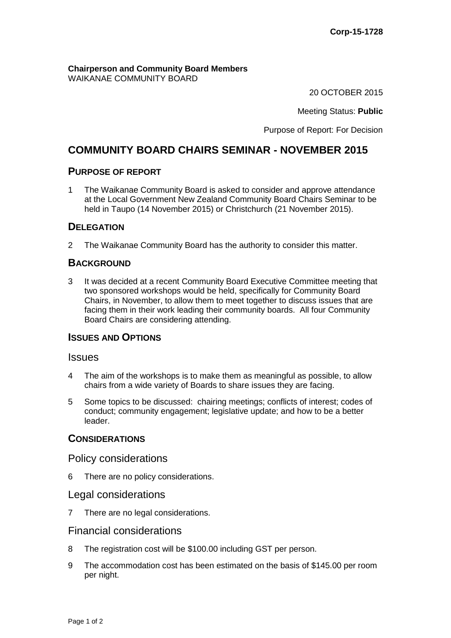**Chairperson and Community Board Members** WAIKANAE COMMUNITY BOARD

20 OCTOBER 2015

Meeting Status: **Public**

Purpose of Report: For Decision

# **COMMUNITY BOARD CHAIRS SEMINAR - NOVEMBER 2015**

#### **PURPOSE OF REPORT**

1 The Waikanae Community Board is asked to consider and approve attendance at the Local Government New Zealand Community Board Chairs Seminar to be held in Taupo (14 November 2015) or Christchurch (21 November 2015).

# **DELEGATION**

2 The Waikanae Community Board has the authority to consider this matter.

## **BACKGROUND**

3 It was decided at a recent Community Board Executive Committee meeting that two sponsored workshops would be held, specifically for Community Board Chairs, in November, to allow them to meet together to discuss issues that are facing them in their work leading their community boards. All four Community Board Chairs are considering attending.

#### **ISSUES AND OPTIONS**

#### **Issues**

- 4 The aim of the workshops is to make them as meaningful as possible, to allow chairs from a wide variety of Boards to share issues they are facing.
- 5 Some topics to be discussed: chairing meetings; conflicts of interest; codes of conduct; community engagement; legislative update; and how to be a better leader.

#### **CONSIDERATIONS**

#### Policy considerations

6 There are no policy considerations.

#### Legal considerations

7 There are no legal considerations.

## Financial considerations

- 8 The registration cost will be \$100.00 including GST per person.
- 9 The accommodation cost has been estimated on the basis of \$145.00 per room per night.